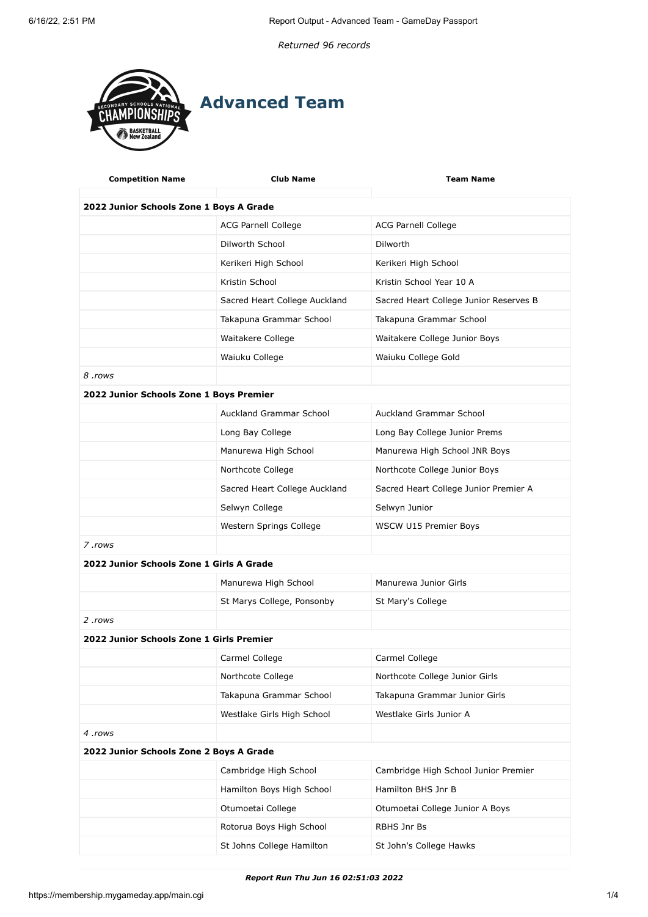*Returned 96 records*



| <b>Competition Name</b>                  | <b>Club Name</b>                        | <b>Team Name</b>                       |  |  |  |
|------------------------------------------|-----------------------------------------|----------------------------------------|--|--|--|
|                                          | 2022 Junior Schools Zone 1 Boys A Grade |                                        |  |  |  |
|                                          | <b>ACG Parnell College</b>              | <b>ACG Parnell College</b>             |  |  |  |
|                                          | Dilworth School                         | Dilworth                               |  |  |  |
|                                          | Kerikeri High School                    | Kerikeri High School                   |  |  |  |
|                                          | Kristin School                          | Kristin School Year 10 A               |  |  |  |
|                                          | Sacred Heart College Auckland           | Sacred Heart College Junior Reserves B |  |  |  |
|                                          | Takapuna Grammar School                 | Takapuna Grammar School                |  |  |  |
|                                          | Waitakere College                       | Waitakere College Junior Boys          |  |  |  |
|                                          | Waiuku College                          | Waiuku College Gold                    |  |  |  |
| 8 .rows                                  |                                         |                                        |  |  |  |
| 2022 Junior Schools Zone 1 Boys Premier  |                                         |                                        |  |  |  |
|                                          | Auckland Grammar School                 | Auckland Grammar School                |  |  |  |
|                                          | Long Bay College                        | Long Bay College Junior Prems          |  |  |  |
|                                          | Manurewa High School                    | Manurewa High School JNR Boys          |  |  |  |
|                                          | Northcote College                       | Northcote College Junior Boys          |  |  |  |
|                                          | Sacred Heart College Auckland           | Sacred Heart College Junior Premier A  |  |  |  |
|                                          | Selwyn College                          | Selwyn Junior                          |  |  |  |
|                                          | Western Springs College                 | WSCW U15 Premier Boys                  |  |  |  |
| 7.rows                                   |                                         |                                        |  |  |  |
| 2022 Junior Schools Zone 1 Girls A Grade |                                         |                                        |  |  |  |
|                                          | Manurewa High School                    | Manurewa Junior Girls                  |  |  |  |
|                                          | St Marys College, Ponsonby              | St Mary's College                      |  |  |  |
| 2.rows                                   |                                         |                                        |  |  |  |
| 2022 Junior Schools Zone 1 Girls Premier |                                         |                                        |  |  |  |
|                                          | Carmel College                          | Carmel College                         |  |  |  |
|                                          | Northcote College                       | Northcote College Junior Girls         |  |  |  |
|                                          | Takapuna Grammar School                 | Takapuna Grammar Junior Girls          |  |  |  |
|                                          | Westlake Girls High School              | Westlake Girls Junior A                |  |  |  |
| 4 .rows                                  |                                         |                                        |  |  |  |
| 2022 Junior Schools Zone 2 Boys A Grade  |                                         |                                        |  |  |  |
|                                          | Cambridge High School                   | Cambridge High School Junior Premier   |  |  |  |
|                                          | Hamilton Boys High School               | Hamilton BHS Jnr B                     |  |  |  |
|                                          | Otumoetai College                       | Otumoetai College Junior A Boys        |  |  |  |
|                                          | Rotorua Boys High School                | RBHS Jnr Bs                            |  |  |  |
|                                          | St Johns College Hamilton               | St John's College Hawks                |  |  |  |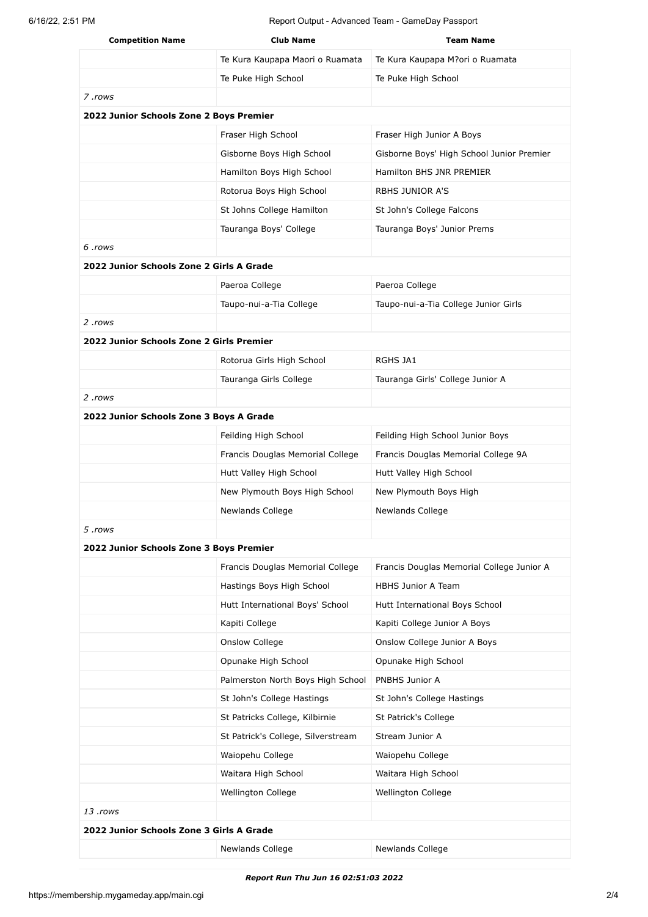| <b>Competition Name</b>                  | <b>Club Name</b>                   | <b>Team Name</b>                          |  |  |
|------------------------------------------|------------------------------------|-------------------------------------------|--|--|
|                                          | Te Kura Kaupapa Maori o Ruamata    | Te Kura Kaupapa M?ori o Ruamata           |  |  |
|                                          | Te Puke High School                | Te Puke High School                       |  |  |
| 7.rows                                   |                                    |                                           |  |  |
| 2022 Junior Schools Zone 2 Boys Premier  |                                    |                                           |  |  |
|                                          | Fraser High School                 | Fraser High Junior A Boys                 |  |  |
|                                          | Gisborne Boys High School          | Gisborne Boys' High School Junior Premier |  |  |
|                                          | Hamilton Boys High School          | Hamilton BHS JNR PREMIER                  |  |  |
|                                          | Rotorua Boys High School           | <b>RBHS JUNIOR A'S</b>                    |  |  |
|                                          | St Johns College Hamilton          | St John's College Falcons                 |  |  |
|                                          | Tauranga Boys' College             | Tauranga Boys' Junior Prems               |  |  |
| 6.rows                                   |                                    |                                           |  |  |
| 2022 Junior Schools Zone 2 Girls A Grade |                                    |                                           |  |  |
|                                          | Paeroa College                     | Paeroa College                            |  |  |
|                                          | Taupo-nui-a-Tia College            | Taupo-nui-a-Tia College Junior Girls      |  |  |
| 2.rows                                   |                                    |                                           |  |  |
| 2022 Junior Schools Zone 2 Girls Premier |                                    |                                           |  |  |
|                                          | Rotorua Girls High School          | RGHS JA1                                  |  |  |
|                                          | Tauranga Girls College             | Tauranga Girls' College Junior A          |  |  |
| 2 .rows                                  |                                    |                                           |  |  |
| 2022 Junior Schools Zone 3 Boys A Grade  |                                    |                                           |  |  |
|                                          | Feilding High School               | Feilding High School Junior Boys          |  |  |
|                                          | Francis Douglas Memorial College   | Francis Douglas Memorial College 9A       |  |  |
|                                          | Hutt Valley High School            | Hutt Valley High School                   |  |  |
|                                          | New Plymouth Boys High School      | New Plymouth Boys High                    |  |  |
|                                          | Newlands College                   | <b>Newlands College</b>                   |  |  |
| 5 .rows                                  |                                    |                                           |  |  |
| 2022 Junior Schools Zone 3 Boys Premier  |                                    |                                           |  |  |
|                                          | Francis Douglas Memorial College   | Francis Douglas Memorial College Junior A |  |  |
|                                          | Hastings Boys High School          | <b>HBHS Junior A Team</b>                 |  |  |
|                                          | Hutt International Boys' School    | Hutt International Boys School            |  |  |
|                                          | Kapiti College                     | Kapiti College Junior A Boys              |  |  |
|                                          | Onslow College                     | Onslow College Junior A Boys              |  |  |
|                                          | Opunake High School                | Opunake High School                       |  |  |
|                                          | Palmerston North Boys High School  | PNBHS Junior A                            |  |  |
|                                          | St John's College Hastings         | St John's College Hastings                |  |  |
|                                          | St Patricks College, Kilbirnie     | St Patrick's College                      |  |  |
|                                          | St Patrick's College, Silverstream | Stream Junior A                           |  |  |
|                                          | Waiopehu College                   | Waiopehu College                          |  |  |
|                                          | Waitara High School                | Waitara High School                       |  |  |
|                                          | Wellington College                 | Wellington College                        |  |  |
| 13 .rows                                 |                                    |                                           |  |  |
| 2022 Junior Schools Zone 3 Girls A Grade |                                    |                                           |  |  |
|                                          | Newlands College                   | Newlands College                          |  |  |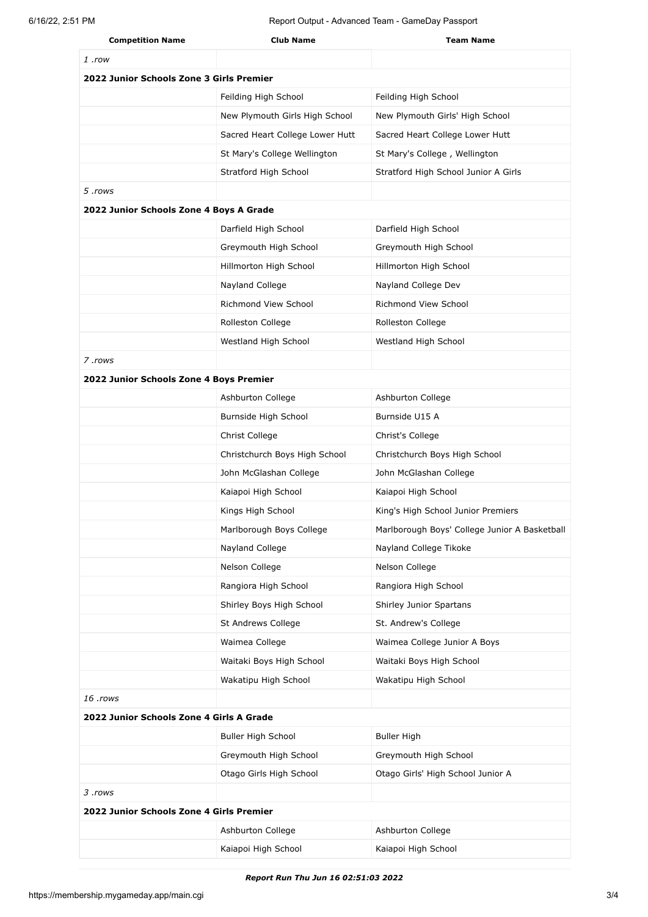| <b>Competition Name</b>                  | <b>Club Name</b>                | <b>Team Name</b>                              |
|------------------------------------------|---------------------------------|-----------------------------------------------|
| 1 .row                                   |                                 |                                               |
| 2022 Junior Schools Zone 3 Girls Premier |                                 |                                               |
|                                          | Feilding High School            | Feilding High School                          |
|                                          | New Plymouth Girls High School  | New Plymouth Girls' High School               |
|                                          | Sacred Heart College Lower Hutt | Sacred Heart College Lower Hutt               |
|                                          | St Mary's College Wellington    | St Mary's College, Wellington                 |
|                                          | Stratford High School           | Stratford High School Junior A Girls          |
| 5 .rows                                  |                                 |                                               |
| 2022 Junior Schools Zone 4 Boys A Grade  |                                 |                                               |
|                                          | Darfield High School            | Darfield High School                          |
|                                          | Greymouth High School           | Greymouth High School                         |
|                                          | Hillmorton High School          | Hillmorton High School                        |
|                                          | Nayland College                 | Nayland College Dev                           |
|                                          | Richmond View School            | <b>Richmond View School</b>                   |
|                                          | Rolleston College               | Rolleston College                             |
|                                          | Westland High School            | Westland High School                          |
| 7.rows                                   |                                 |                                               |
| 2022 Junior Schools Zone 4 Boys Premier  |                                 |                                               |
|                                          | Ashburton College               | Ashburton College                             |
|                                          | Burnside High School            | Burnside U15 A                                |
|                                          | Christ College                  | Christ's College                              |
|                                          | Christchurch Boys High School   | Christchurch Boys High School                 |
|                                          | John McGlashan College          | John McGlashan College                        |
|                                          | Kaiapoi High School             | Kaiapoi High School                           |
|                                          | Kings High School               | King's High School Junior Premiers            |
|                                          | Marlborough Boys College        | Marlborough Boys' College Junior A Basketball |
|                                          | Nayland College                 | Nayland College Tikoke                        |
|                                          | Nelson College                  | Nelson College                                |
|                                          | Rangiora High School            | Rangiora High School                          |
|                                          | Shirley Boys High School        | Shirley Junior Spartans                       |
|                                          | St Andrews College              | St. Andrew's College                          |
|                                          | Waimea College                  | Waimea College Junior A Boys                  |
|                                          | Waitaki Boys High School        | Waitaki Boys High School                      |
|                                          | Wakatipu High School            | Wakatipu High School                          |
| 16 .rows                                 |                                 |                                               |
| 2022 Junior Schools Zone 4 Girls A Grade |                                 |                                               |
|                                          | Buller High School              | <b>Buller High</b>                            |
|                                          | Greymouth High School           | Greymouth High School                         |
|                                          | Otago Girls High School         | Otago Girls' High School Junior A             |
| 3 .rows                                  |                                 |                                               |
| 2022 Junior Schools Zone 4 Girls Premier |                                 |                                               |
|                                          | Ashburton College               | Ashburton College                             |
|                                          | Kaiapoi High School             | Kaiapoi High School                           |